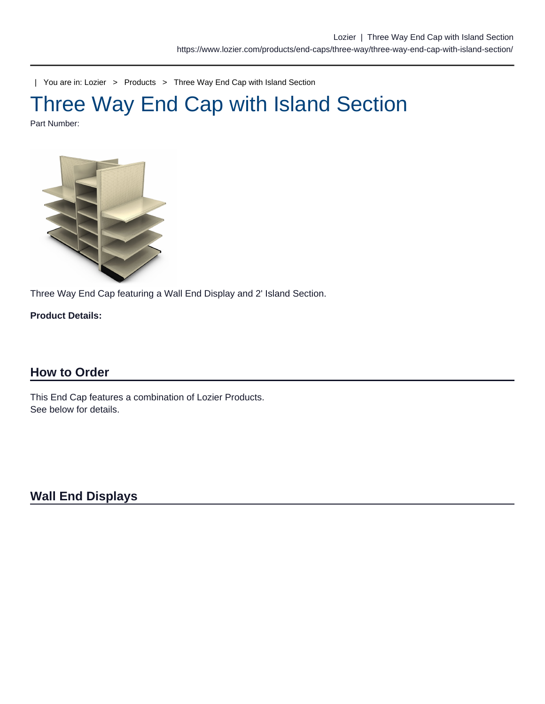| You are in: [Lozier](https://www.lozier.com) > [Products](https://www.lozier.com/products/) > [Three Way End Cap with Island Section](https://www.lozier.com/products/end-caps/three-way/three-way-end-cap-with-island-section/)

# Three Way End Cap with Island Section

Part Number:

Three Way End Cap featuring a Wall End Display and 2' Island Section.

Product Details:

## How to Order

This End Cap features a combination of Lozier Products. See below for details.

Wall End Displays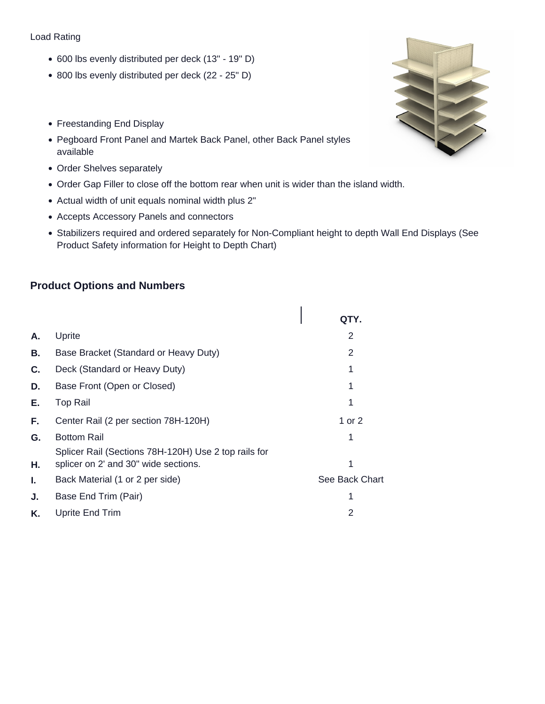#### Load Rating

- 600 lbs evenly distributed per deck (13" 19" D)
- 800 lbs evenly distributed per deck (22 25" D)
- Freestanding End Display
- Pegboard Front Panel and Martek Back Panel, other Back Panel styles available
- Order Shelves separately
- Order Gap Filler to close off the bottom rear when unit is wider than the island width.
- Actual width of unit equals nominal width plus 2"
- Accepts Accessory Panels and connectors
- Stabilizers required and ordered separately for Non-Compliant height to depth Wall End Displays (See Product Safety information for Height to Depth Chart)

## **Product Options and Numbers**

|    |                                                                                              | QTY.           |
|----|----------------------------------------------------------------------------------------------|----------------|
| А. | Uprite                                                                                       | 2              |
| В. | Base Bracket (Standard or Heavy Duty)                                                        | 2              |
| C. | Deck (Standard or Heavy Duty)                                                                |                |
| D. | Base Front (Open or Closed)                                                                  |                |
| Е. | <b>Top Rail</b>                                                                              |                |
| F. | Center Rail (2 per section 78H-120H)                                                         | 1 or 2         |
| G. | <b>Bottom Rail</b>                                                                           |                |
| Η. | Splicer Rail (Sections 78H-120H) Use 2 top rails for<br>splicer on 2' and 30" wide sections. |                |
| I. | Back Material (1 or 2 per side)                                                              | See Back Chart |
| J. | Base End Trim (Pair)                                                                         |                |
| K. | Uprite End Trim                                                                              | 2              |
|    |                                                                                              |                |

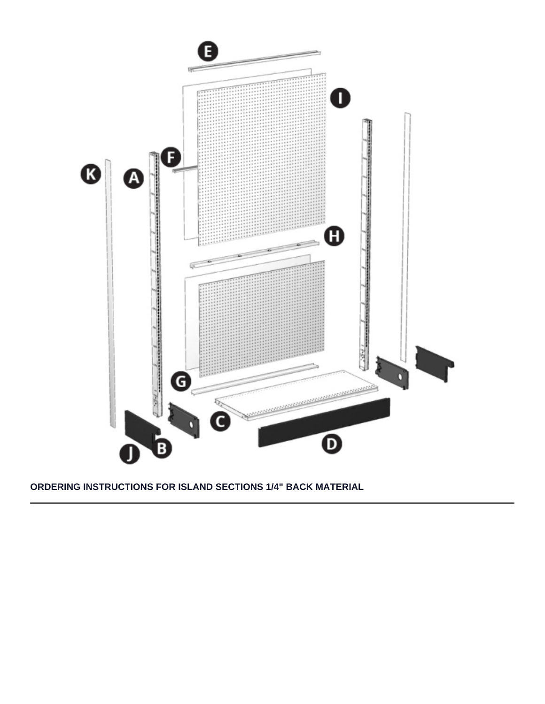

#### **ORDERING INSTRUCTIONS FOR ISLAND SECTIONS 1/4" BACK MATERIAL**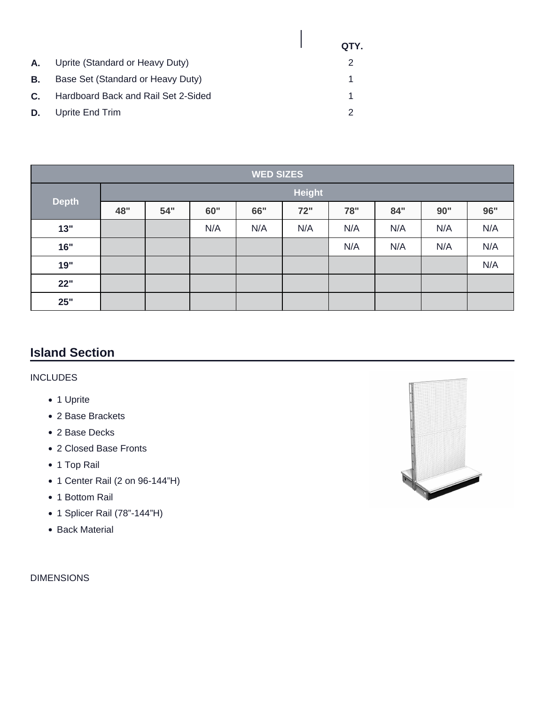|    |                                     | QTY. |
|----|-------------------------------------|------|
| A. | Uprite (Standard or Heavy Duty)     |      |
| В. | Base Set (Standard or Heavy Duty)   |      |
| C. | Hardboard Back and Rail Set 2-Sided |      |
| D. | Uprite End Trim                     | 2    |

| <b>WED SIZES</b> |               |     |     |     |     |     |     |     |     |  |
|------------------|---------------|-----|-----|-----|-----|-----|-----|-----|-----|--|
|                  | <b>Height</b> |     |     |     |     |     |     |     |     |  |
| <b>Depth</b>     | 48"           | 54" | 60" | 66" | 72" | 78" | 84" | 90" | 96" |  |
| 13"              |               |     | N/A | N/A | N/A | N/A | N/A | N/A | N/A |  |
| 16"              |               |     |     |     |     | N/A | N/A | N/A | N/A |  |
| 19"              |               |     |     |     |     |     |     |     | N/A |  |
| 22"              |               |     |     |     |     |     |     |     |     |  |
| 25"              |               |     |     |     |     |     |     |     |     |  |

# **Island Section**

## INCLUDES

- 1 Uprite
- 2 Base Brackets
- 2 Base Decks
- 2 Closed Base Fronts
- 1 Top Rail
- 1 Center Rail (2 on 96-144"H)
- 1 Bottom Rail
- 1 Splicer Rail (78"-144"H)
- Back Material

DIMENSIONS

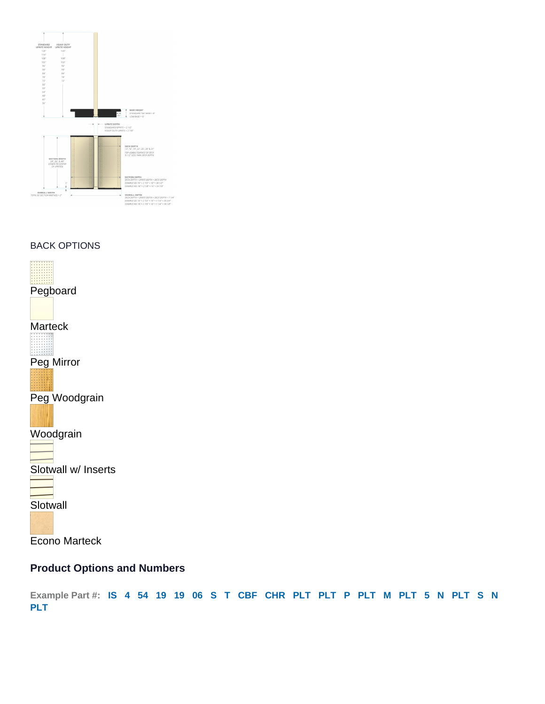BACK OPTIONS

Pegboard

Marteck

Peg Mirror

Peg Woodgrain

Woodgrain

Slotwall w/ Inserts

**Slotwall** 

Econo Marteck

Product Options and Numbers

Example Part #: IS 4 54 19 19 06 S T CBF CHR PLT PLT P PLT M PLT 5 N PLT S N PLT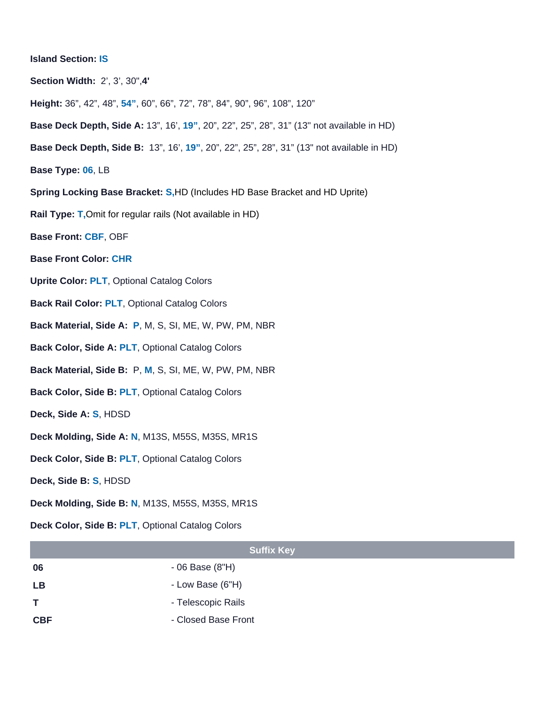- Island Section: IS
- Section Width: 2', 3', 30",4'
- Height: 36", 42", 48", 54" , 60", 66", 72", 78", 84", 90", 96", 108", 120"
- Base Deck Depth, Side A: 13", 16', 19" , 20", 22", 25", 28", 31" (13" not available in HD)
- Base Deck Depth, Side B: 13", 16', 19" , 20", 22", 25", 28", 31" (13" not available in HD)
- Base Type: 06, LB
- Spring Locking Base Bracket: S,HD (Includes HD Base Bracket and HD Uprite)
- Rail Type: T,Omit for regular rails (Not available in HD)
- Base Front: CBF, OBF
- Base Front Color: CHR
- Uprite Color: PLT, [Optional Catalog Colors](/resources/lozier-colors/)
- Back Rail Color: PLT, [Optional Catalog Colors](/resources/lozier-colors/)
- Back Material, Side A: P, M, S, SI, ME, W, PW, PM, NBR
- Back Color, Side A: PLT, [Optional Catalog Colors](/resources/lozier-colors/)
- Back Material, Side B: P, M, S, SI, ME, W, PW, PM, NBR
- Back Color, Side B: PLT, [Optional Catalog Colors](/resources/lozier-colors/)
- Deck, Side A: S, HDSD
- Deck Molding, Side A: N, M13S, M55S, M35S, MR1S
- Deck Color, Side B: PLT, [Optional Catalog Colors](/resources/lozier-colors/)
- Deck, Side B: S, HDSD
- Deck Molding, Side B: N, M13S, M55S, M35S, MR1S
- Deck Color, Side B: PLT, [Optional Catalog Colors](/resources/lozier-colors/)

| <b>Suffix Key</b> |                     |  |  |  |
|-------------------|---------------------|--|--|--|
| 06                | - 06 Base (8"H)     |  |  |  |
| LB                | - Low Base (6"H)    |  |  |  |
| T                 | - Telescopic Rails  |  |  |  |
| <b>CBF</b>        | - Closed Base Front |  |  |  |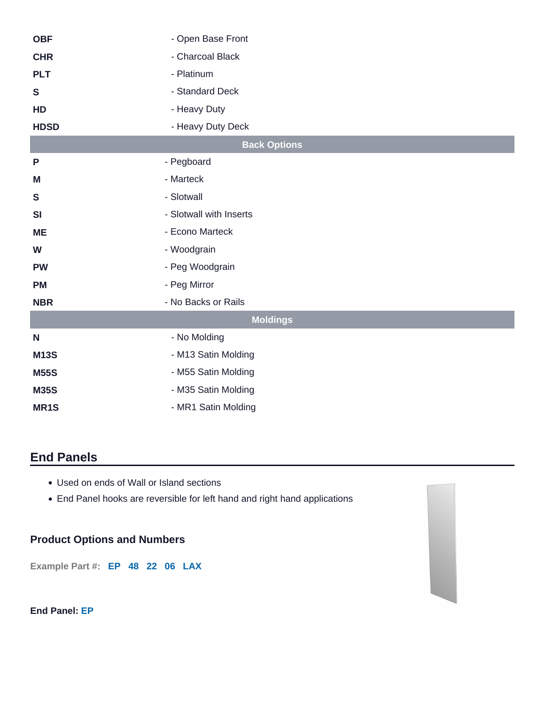| <b>OBF</b>   | - Open Base Front       |  |  |  |  |
|--------------|-------------------------|--|--|--|--|
| <b>CHR</b>   | - Charcoal Black        |  |  |  |  |
| <b>PLT</b>   | - Platinum              |  |  |  |  |
| $\mathbf{s}$ | - Standard Deck         |  |  |  |  |
| HD           | - Heavy Duty            |  |  |  |  |
| <b>HDSD</b>  | - Heavy Duty Deck       |  |  |  |  |
|              | <b>Back Options</b>     |  |  |  |  |
| P            | - Pegboard              |  |  |  |  |
| M            | - Marteck               |  |  |  |  |
| $\mathbf S$  | - Slotwall              |  |  |  |  |
| <b>SI</b>    | - Slotwall with Inserts |  |  |  |  |
| <b>ME</b>    | - Econo Marteck         |  |  |  |  |
| W            | - Woodgrain             |  |  |  |  |
| <b>PW</b>    | - Peg Woodgrain         |  |  |  |  |
| <b>PM</b>    | - Peg Mirror            |  |  |  |  |
| <b>NBR</b>   | - No Backs or Rails     |  |  |  |  |
|              | <b>Moldings</b>         |  |  |  |  |
| N            | - No Molding            |  |  |  |  |
| <b>M13S</b>  | - M13 Satin Molding     |  |  |  |  |
| <b>M55S</b>  | - M55 Satin Molding     |  |  |  |  |
| <b>M35S</b>  | - M35 Satin Molding     |  |  |  |  |
| MR1S         | - MR1 Satin Molding     |  |  |  |  |
|              |                         |  |  |  |  |

# **End Panels**

- Used on ends of Wall or Island sections
- End Panel hooks are reversible for left hand and right hand applications

## **Product Options and Numbers**

**Example Part #: EP 48 22 06 LAX**

#### **End Panel: EP**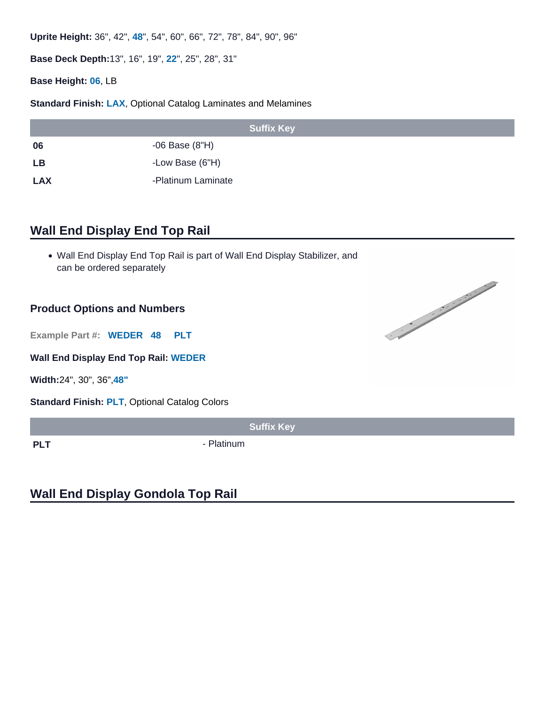Uprite Height: 36", 42", 48", 54", 60", 66", 72", 78", 84", 90", 96"

Base Deck Depth: 13", 16", 19", 22", 25", 28", 31"

Base Height: 06, LB

Standard Finish: LAX, [Optional Catalog Laminates and Melamines](/resources/lozier-colors/)

|            | <b>Suffix Key</b>  |
|------------|--------------------|
| 06         | -06 Base (8"H)     |
| LB         | -Low Base (6"H)    |
| <b>LAX</b> | -Platinum Laminate |

## Wall End Display End Top Rail

Wall End Display End Top Rail is part of Wall End Display Stabilizer, and can be ordered separately

## Product Options and Numbers

Example Part #: WEDER 48 PLT

Wall End Display End Top Rail: WEDER

Width: 24", 30", 36",48"

Standard Finish: PLT, [Optional Catalog Colors](https://www.lozier.com/resources/lozier-colors/)

Suffix Key

PLT PLT - Platinum

## Wall End Display Gondola Top Rail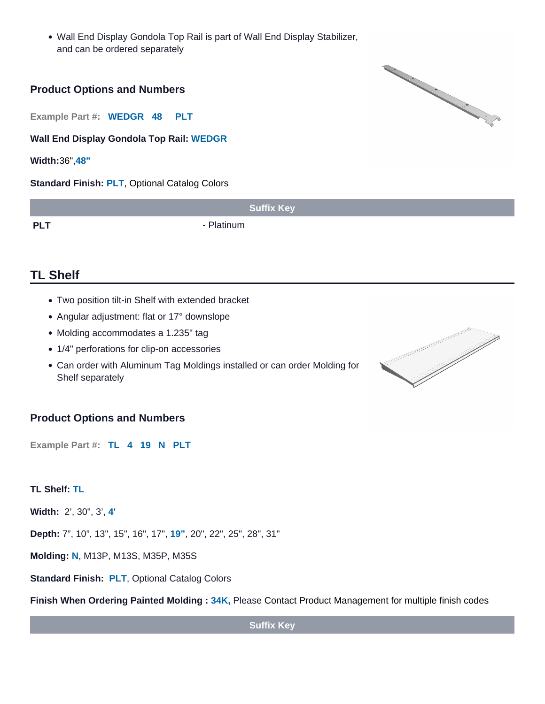Wall End Display Gondola Top Rail is part of Wall End Display Stabilizer, and can be ordered separately

#### Product Options and Numbers

Example Part #: WEDGR 48 PLT

Wall End Display Gondola Top Rail: WEDGR

Width: 36",48"

Standard Finish: PLT, [Optional Catalog Colors](https://www.lozier.com/resources/lozier-colors/)

|            | <b>Suffix Key</b> |
|------------|-------------------|
| <b>PLT</b> | Platinum          |

## TL Shelf

- Two position tilt-in Shelf with extended bracket
- Angular adjustment: flat or 17° downslope
- Molding accommodates a 1.235" tag
- 1/4" perforations for clip-on accessories
- Can order with Aluminum Tag Moldings installed or can order Molding for Shelf separately

## Product Options and Numbers

Example Part #: TL 4 19 N PLT

TL Shelf: TL

Width: 2', 30", 3', 4'

Depth: 7", 10", 13", 15", 16", 17", 19" , 20", 22", 25", 28", 31"

Molding: N, M13P, M13S, M35P, M35S

Standard Finish: PLT, [Optional Catalog Colors](/resources/lozier-colors/)

Finish When Ordering Painted Molding : 34K, Please Contact Product Management for multiple finish codes

Suffix Key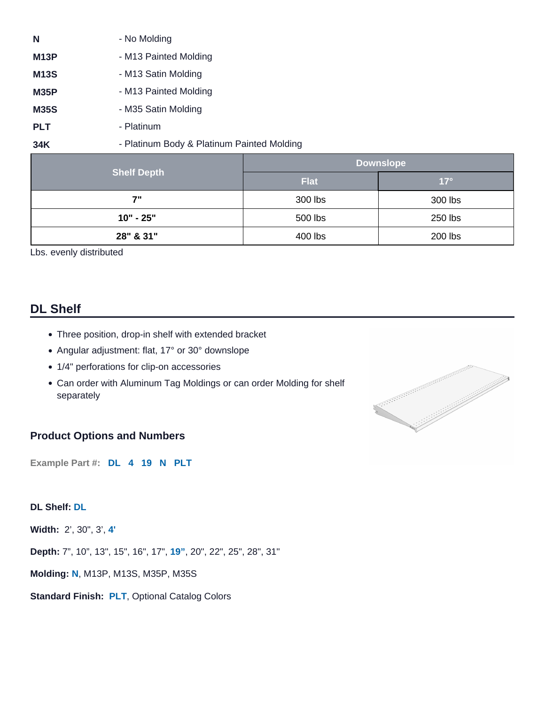| N                 | - No Molding                               |
|-------------------|--------------------------------------------|
| M <sub>13</sub> P | - M13 Painted Molding                      |
| M <sub>13</sub> S | - M13 Satin Molding                        |
| M35P              | - M13 Painted Molding                      |
| <b>M35S</b>       | - M35 Satin Molding                        |
| <b>PLT</b>        | - Platinum                                 |
| 34K               | - Platinum Body & Platinum Painted Molding |

|                    | Downslope   |            |  |
|--------------------|-------------|------------|--|
| <b>Shelf Depth</b> | <b>Flat</b> | $17^\circ$ |  |
| 7"                 | 300 lbs     | 300 lbs    |  |
| $10" - 25"$        | 500 lbs     | 250 lbs    |  |
| 28" & 31"          | 400 lbs     | 200 lbs    |  |

Lbs. evenly distributed

## DL Shelf

- Three position, drop-in shelf with extended bracket
- Angular adjustment: flat, 17° or 30° downslope
- 1/4" perforations for clip-on accessories
- Can order with Aluminum Tag Moldings or can order Molding for shelf separately

#### Product Options and Numbers

Example Part #: DL 4 19 N PLT

DL Shelf: DL

Width: 2', 30", 3', 4'

Depth: 7", 10", 13", 15", 16", 17", 19" , 20", 22", 25", 28", 31"

Molding: N, M13P, M13S, M35P, M35S

Standard Finish: PLT, [Optional Catalog Colors](/resources/lozier-colors/)